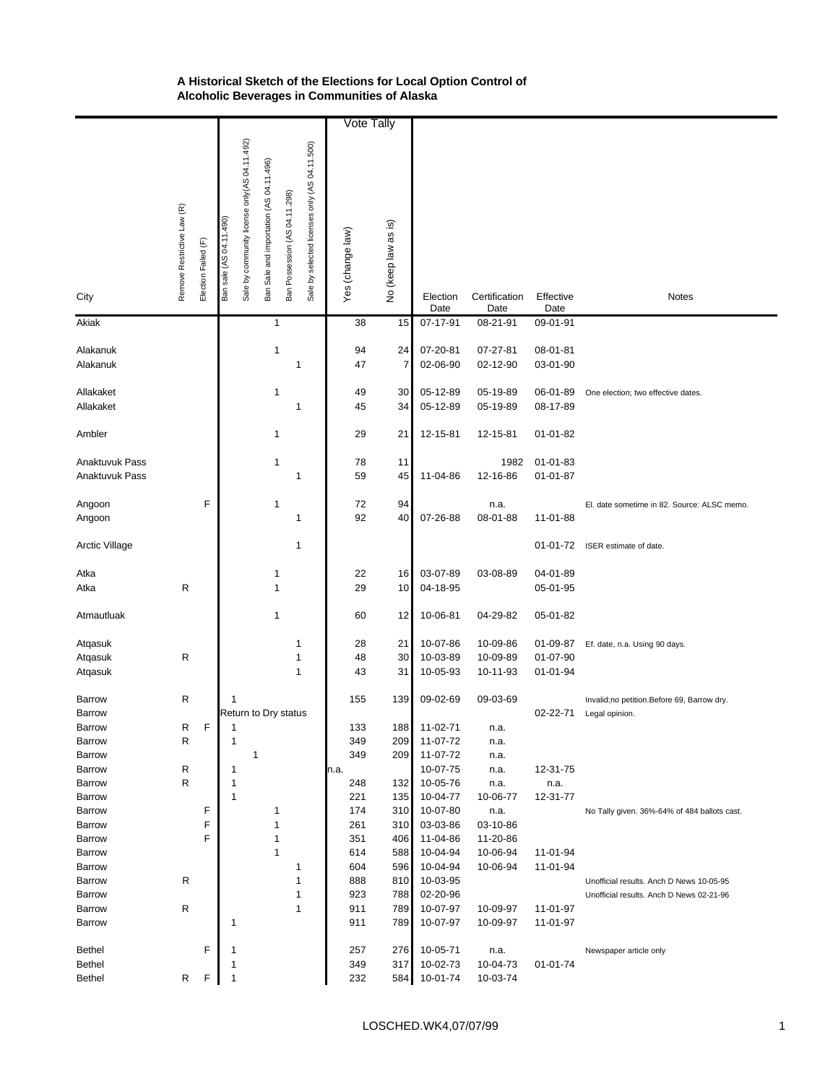|                       |                            |                     |                                                                                                | <b>Vote Tally</b> |                     |          |                  |                |                                                              |
|-----------------------|----------------------------|---------------------|------------------------------------------------------------------------------------------------|-------------------|---------------------|----------|------------------|----------------|--------------------------------------------------------------|
|                       |                            |                     |                                                                                                |                   |                     |          |                  |                |                                                              |
|                       |                            |                     | Sale by community license only (AS 04.11.492)<br>Sale by selected licenses only (AS 04.11.500) |                   |                     |          |                  |                |                                                              |
|                       |                            |                     | Ban Sale and importation (AS 04.11.496)                                                        |                   |                     |          |                  |                |                                                              |
|                       |                            |                     |                                                                                                |                   |                     |          |                  |                |                                                              |
|                       |                            |                     |                                                                                                |                   |                     |          |                  |                |                                                              |
|                       |                            |                     |                                                                                                |                   |                     |          |                  |                |                                                              |
|                       |                            |                     |                                                                                                |                   |                     |          |                  |                |                                                              |
|                       |                            |                     |                                                                                                |                   |                     |          |                  |                |                                                              |
|                       |                            |                     |                                                                                                |                   |                     |          |                  |                |                                                              |
|                       |                            |                     |                                                                                                |                   |                     |          |                  |                |                                                              |
|                       |                            |                     |                                                                                                |                   |                     |          |                  |                |                                                              |
| City                  | Remove Restrictive Law (R) | Election Failed (F) | Ban Possession (AS 04.11.298)<br>Ban sale (AS 04.11.490)                                       | Yes (change law)  | No (keep law as is) | Election | Certification    | Effective      | Notes                                                        |
|                       |                            |                     |                                                                                                |                   |                     | Date     | Date             | Date           |                                                              |
| Akiak                 |                            |                     | $\mathbf{1}$                                                                                   | 38                | 15                  | 07-17-91 | 08-21-91         | 09-01-91       |                                                              |
|                       |                            |                     |                                                                                                |                   |                     |          |                  |                |                                                              |
| Alakanuk              |                            |                     | 1                                                                                              | 94                | 24                  | 07-20-81 | 07-27-81         | 08-01-81       |                                                              |
| Alakanuk              |                            |                     | 1                                                                                              | 47                | 7                   | 02-06-90 | 02-12-90         | 03-01-90       |                                                              |
|                       |                            |                     |                                                                                                |                   |                     |          |                  |                |                                                              |
| Allakaket             |                            |                     | 1                                                                                              | 49                | 30                  | 05-12-89 | 05-19-89         | 06-01-89       | One election; two effective dates.                           |
| Allakaket             |                            |                     | 1                                                                                              | 45                | 34                  | 05-12-89 | 05-19-89         | 08-17-89       |                                                              |
|                       |                            |                     |                                                                                                |                   |                     |          |                  |                |                                                              |
| Ambler                |                            |                     | 1                                                                                              | 29                | 21                  | 12-15-81 | 12-15-81         | 01-01-82       |                                                              |
|                       |                            |                     |                                                                                                |                   |                     |          |                  |                |                                                              |
| Anaktuvuk Pass        |                            |                     | 1                                                                                              | 78                | 11                  |          | 1982             | 01-01-83       |                                                              |
| Anaktuvuk Pass        |                            |                     | 1                                                                                              | 59                | 45                  | 11-04-86 | 12-16-86         | $01 - 01 - 87$ |                                                              |
|                       |                            |                     |                                                                                                |                   |                     |          |                  |                |                                                              |
| Angoon                |                            | F                   | 1                                                                                              | 72                | 94                  |          | n.a.             |                | El. date sometime in 82. Source: ALSC memo.                  |
| Angoon                |                            |                     | 1                                                                                              | 92                | 40                  | 07-26-88 | 08-01-88         | 11-01-88       |                                                              |
|                       |                            |                     |                                                                                                |                   |                     |          |                  |                |                                                              |
| <b>Arctic Village</b> |                            |                     | 1                                                                                              |                   |                     |          |                  | 01-01-72       | ISER estimate of date.                                       |
|                       |                            |                     |                                                                                                |                   |                     |          |                  |                |                                                              |
| Atka                  |                            |                     | 1                                                                                              | 22                | 16                  | 03-07-89 | 03-08-89         | 04-01-89       |                                                              |
| Atka                  | R                          |                     | 1                                                                                              | 29                | 10                  | 04-18-95 |                  | 05-01-95       |                                                              |
|                       |                            |                     |                                                                                                |                   |                     |          |                  |                |                                                              |
| Atmautluak            |                            |                     | 1                                                                                              | 60                | 12                  | 10-06-81 | 04-29-82         | 05-01-82       |                                                              |
|                       |                            |                     |                                                                                                | 28                | 21                  | 10-07-86 | 10-09-86         | 01-09-87       |                                                              |
| Atqasuk<br>Atqasuk    | R                          |                     | 1<br>1                                                                                         | 48                | 30                  | 10-03-89 | 10-09-89         | 01-07-90       | Ef. date, n.a. Using 90 days.                                |
| Atqasuk               |                            |                     | $\mathbf{1}$                                                                                   | 43                | 31                  | 10-05-93 | 10-11-93         | 01-01-94       |                                                              |
|                       |                            |                     |                                                                                                |                   |                     |          |                  |                |                                                              |
| <b>Barrow</b>         | R                          |                     | 1                                                                                              | 155               | 139                 | 09-02-69 | 09-03-69         |                |                                                              |
| <b>Barrow</b>         |                            |                     | Return to Dry status                                                                           |                   |                     |          |                  | 02-22-71       | Invalid;no petition.Before 69, Barrow dry.<br>Legal opinion. |
| <b>Barrow</b>         | R                          | F                   | $\mathbf 1$                                                                                    | 133               | 188                 | 11-02-71 | n.a.             |                |                                                              |
| <b>Barrow</b>         | R                          |                     | 1                                                                                              | 349               | 209                 | 11-07-72 |                  |                |                                                              |
| <b>Barrow</b>         |                            |                     | 1                                                                                              | 349               | 209                 | 11-07-72 | n.a.<br>n.a.     |                |                                                              |
| <b>Barrow</b>         | R                          |                     | 1                                                                                              | n.a.              |                     | 10-07-75 | n.a.             | 12-31-75       |                                                              |
| <b>Barrow</b>         | R                          |                     | 1                                                                                              | 248               | 132                 | 10-05-76 | n.a.             | n.a.           |                                                              |
| <b>Barrow</b>         |                            |                     | $\mathbf{1}$                                                                                   | 221               | 135                 | 10-04-77 | 10-06-77         | 12-31-77       |                                                              |
| <b>Barrow</b>         |                            | F                   | 1                                                                                              | 174               | 310                 | 10-07-80 |                  |                |                                                              |
| Barrow                |                            | F                   | 1                                                                                              | 261               | 310                 | 03-03-86 | n.a.<br>03-10-86 |                | No Tally given. 36%-64% of 484 ballots cast.                 |
| <b>Barrow</b>         |                            | F                   | 1                                                                                              | 351               | 406                 | 11-04-86 | 11-20-86         |                |                                                              |
| <b>Barrow</b>         |                            |                     | $\mathbf{1}$                                                                                   | 614               | 588                 | 10-04-94 | 10-06-94         | 11-01-94       |                                                              |
| <b>Barrow</b>         |                            |                     | 1                                                                                              | 604               | 596                 | 10-04-94 | 10-06-94         | 11-01-94       |                                                              |
| <b>Barrow</b>         | R                          |                     | 1                                                                                              | 888               | 810                 | 10-03-95 |                  |                | Unofficial results. Anch D News 10-05-95                     |
| <b>Barrow</b>         |                            |                     | 1                                                                                              | 923               | 788                 | 02-20-96 |                  |                | Unofficial results. Anch D News 02-21-96                     |
| <b>Barrow</b>         | R                          |                     | $\mathbf{1}$                                                                                   | 911               | 789                 | 10-07-97 | 10-09-97         | 11-01-97       |                                                              |
| <b>Barrow</b>         |                            |                     | 1                                                                                              | 911               | 789                 | 10-07-97 | 10-09-97         | 11-01-97       |                                                              |
|                       |                            |                     |                                                                                                |                   |                     |          |                  |                |                                                              |
| Bethel                |                            | F                   | 1                                                                                              | 257               | 276                 | 10-05-71 | n.a.             |                | Newspaper article only                                       |
| Bethel                |                            |                     | 1                                                                                              | 349               | 317                 | 10-02-73 | 10-04-73         | 01-01-74       |                                                              |
| <b>Bethel</b>         | R                          | F                   | 1                                                                                              | 232               | 584                 | 10-01-74 | 10-03-74         |                |                                                              |
|                       |                            |                     |                                                                                                |                   |                     |          |                  |                |                                                              |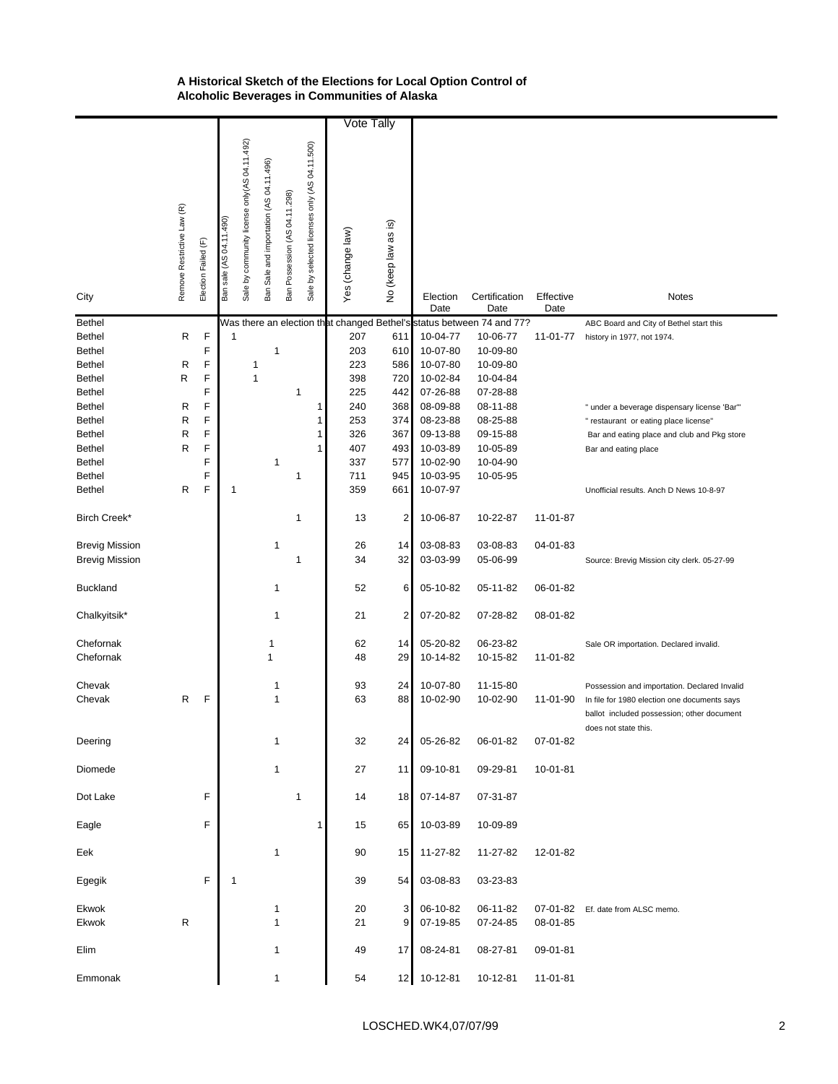|                       |                            |                     |                         |                                               |                                         |                               |                                               |   | <b>Vote Tally</b> |                              |                  |                                                                       |                   |                                                                                                                    |
|-----------------------|----------------------------|---------------------|-------------------------|-----------------------------------------------|-----------------------------------------|-------------------------------|-----------------------------------------------|---|-------------------|------------------------------|------------------|-----------------------------------------------------------------------|-------------------|--------------------------------------------------------------------------------------------------------------------|
| City                  | Remove Restrictive Law (R) | Election Failed (F) | Ban sale (AS 04.11.490) | Sale by community license only (AS 04.11.492) | Ban Sale and importation (AS 04.11.496) | Ban Possession (AS 04.11.298) | Sale by selected licenses only (AS 04.11.500) |   | Yes (change law)  | <u>is</u><br>No (keep law as | Election<br>Date | Certification<br>Date                                                 | Effective<br>Date | <b>Notes</b>                                                                                                       |
| <b>Bethel</b>         |                            |                     |                         |                                               |                                         |                               |                                               |   |                   |                              |                  | Was there an election that changed Bethel's status between 74 and 77? |                   | ABC Board and City of Bethel start this                                                                            |
| <b>Bethel</b>         | R                          | F                   | 1                       |                                               |                                         |                               |                                               |   | 207               | 611                          | 10-04-77         | 10-06-77                                                              | 11-01-77          | history in 1977, not 1974.                                                                                         |
| <b>Bethel</b>         |                            | F                   |                         |                                               |                                         | 1                             |                                               |   | 203               | 610                          | 10-07-80         | 10-09-80                                                              |                   |                                                                                                                    |
| <b>Bethel</b>         | R                          | F                   |                         | 1                                             |                                         |                               |                                               |   | 223               | 586                          | 10-07-80         | 10-09-80                                                              |                   |                                                                                                                    |
| <b>Bethel</b>         | R                          | F                   |                         |                                               | 1                                       |                               |                                               |   | 398               | 720                          | 10-02-84         | 10-04-84                                                              |                   |                                                                                                                    |
| <b>Bethel</b>         |                            | F                   |                         |                                               |                                         |                               | 1                                             |   | 225               | 442                          | 07-26-88         | 07-28-88                                                              |                   |                                                                                                                    |
|                       |                            |                     |                         |                                               |                                         |                               |                                               |   |                   |                              |                  |                                                                       |                   |                                                                                                                    |
| <b>Bethel</b>         | R                          | F                   |                         |                                               |                                         |                               |                                               | 1 | 240               | 368                          | 08-09-88         | 08-11-88                                                              |                   | " under a beverage dispensary license 'Bar'"                                                                       |
| <b>Bethel</b>         | R                          | F                   |                         |                                               |                                         |                               |                                               | 1 | 253               | 374                          | 08-23-88         | 08-25-88                                                              |                   | " restaurant or eating place license"                                                                              |
| <b>Bethel</b>         | R                          | F                   |                         |                                               |                                         |                               |                                               | 1 | 326               | 367                          | 09-13-88         | 09-15-88                                                              |                   | Bar and eating place and club and Pkg store                                                                        |
| <b>Bethel</b>         | R                          | F                   |                         |                                               |                                         |                               |                                               | 1 | 407               | 493                          | 10-03-89         | 10-05-89                                                              |                   | Bar and eating place                                                                                               |
| <b>Bethel</b>         |                            | F                   |                         |                                               |                                         | 1                             |                                               |   | 337               | 577                          | 10-02-90         | 10-04-90                                                              |                   |                                                                                                                    |
| <b>Bethel</b>         |                            | F                   |                         |                                               |                                         |                               | 1                                             |   | 711               | 945                          | 10-03-95         | 10-05-95                                                              |                   |                                                                                                                    |
| <b>Bethel</b>         | R                          | F                   | 1                       |                                               |                                         |                               |                                               |   | 359               | 661                          | 10-07-97         |                                                                       |                   | Unofficial results. Anch D News 10-8-97                                                                            |
| Birch Creek*          |                            |                     |                         |                                               |                                         |                               | 1                                             |   | 13                | 2                            | 10-06-87         | 10-22-87                                                              | 11-01-87          |                                                                                                                    |
| <b>Brevig Mission</b> |                            |                     |                         |                                               |                                         | 1                             |                                               |   | 26                | 14                           | 03-08-83         | 03-08-83                                                              | 04-01-83          |                                                                                                                    |
| <b>Brevig Mission</b> |                            |                     |                         |                                               |                                         |                               | 1                                             |   | 34                | 32                           | 03-03-99         | 05-06-99                                                              |                   |                                                                                                                    |
|                       |                            |                     |                         |                                               |                                         |                               |                                               |   |                   |                              |                  |                                                                       |                   | Source: Brevig Mission city clerk. 05-27-99                                                                        |
| <b>Buckland</b>       |                            |                     |                         |                                               |                                         | 1                             |                                               |   | 52                | 6                            | 05-10-82         | 05-11-82                                                              | 06-01-82          |                                                                                                                    |
| Chalkyitsik*          |                            |                     |                         |                                               |                                         | 1                             |                                               |   | 21                | 2                            | 07-20-82         | 07-28-82                                                              | 08-01-82          |                                                                                                                    |
| Chefornak             |                            |                     |                         |                                               | 1                                       |                               |                                               |   | 62                | 14                           | 05-20-82         | 06-23-82                                                              |                   | Sale OR importation. Declared invalid.                                                                             |
| Chefornak             |                            |                     |                         |                                               | 1                                       |                               |                                               |   | 48                | 29                           | 10-14-82         | 10-15-82                                                              | 11-01-82          |                                                                                                                    |
|                       |                            |                     |                         |                                               |                                         |                               |                                               |   |                   |                              |                  |                                                                       |                   |                                                                                                                    |
| Chevak                |                            |                     |                         |                                               |                                         | 1                             |                                               |   | 93                | 24                           | 10-07-80         | 11-15-80                                                              |                   | Possession and importation. Declared Invalid                                                                       |
| Chevak                | R                          | F                   |                         |                                               |                                         | 1                             |                                               |   | 63                | 88                           | 10-02-90         | 10-02-90                                                              | 11-01-90          | In file for 1980 election one documents says<br>ballot included possession; other document<br>does not state this. |
| Deering               |                            |                     |                         |                                               |                                         | 1                             |                                               |   | 32                | 24                           | 05-26-82         | 06-01-82                                                              | 07-01-82          |                                                                                                                    |
| Diomede               |                            |                     |                         |                                               |                                         | 1                             |                                               |   | 27                | 11                           | 09-10-81         | 09-29-81                                                              | 10-01-81          |                                                                                                                    |
| Dot Lake              |                            | F                   |                         |                                               |                                         |                               | $\mathbf{1}$                                  |   | 14                | 18                           | 07-14-87         | 07-31-87                                                              |                   |                                                                                                                    |
| Eagle                 |                            | F                   |                         |                                               |                                         |                               |                                               |   | 15                | 65                           | 10-03-89         | 10-09-89                                                              |                   |                                                                                                                    |
| Eek                   |                            |                     |                         |                                               |                                         | 1                             |                                               |   | 90                | 15                           | 11-27-82         | 11-27-82                                                              | 12-01-82          |                                                                                                                    |
| Egegik                |                            | F                   | 1                       |                                               |                                         |                               |                                               |   | 39                | 54                           | 03-08-83         | 03-23-83                                                              |                   |                                                                                                                    |
| Ekwok                 |                            |                     |                         |                                               |                                         | 1                             |                                               |   | 20                | 3                            | 06-10-82         | 06-11-82                                                              | 07-01-82          | Ef. date from ALSC memo.                                                                                           |
| Ekwok                 | R                          |                     |                         |                                               |                                         | 1                             |                                               |   | 21                | 9                            | 07-19-85         | 07-24-85                                                              | 08-01-85          |                                                                                                                    |
|                       |                            |                     |                         |                                               |                                         |                               |                                               |   |                   |                              |                  |                                                                       |                   |                                                                                                                    |
| Elim                  |                            |                     |                         |                                               |                                         | 1                             |                                               |   | 49                | 17                           | 08-24-81         | 08-27-81                                                              | 09-01-81          |                                                                                                                    |
| Emmonak               |                            |                     |                         |                                               |                                         | $\mathbf{1}$                  |                                               |   | 54                | 12                           | 10-12-81         | 10-12-81                                                              | 11-01-81          |                                                                                                                    |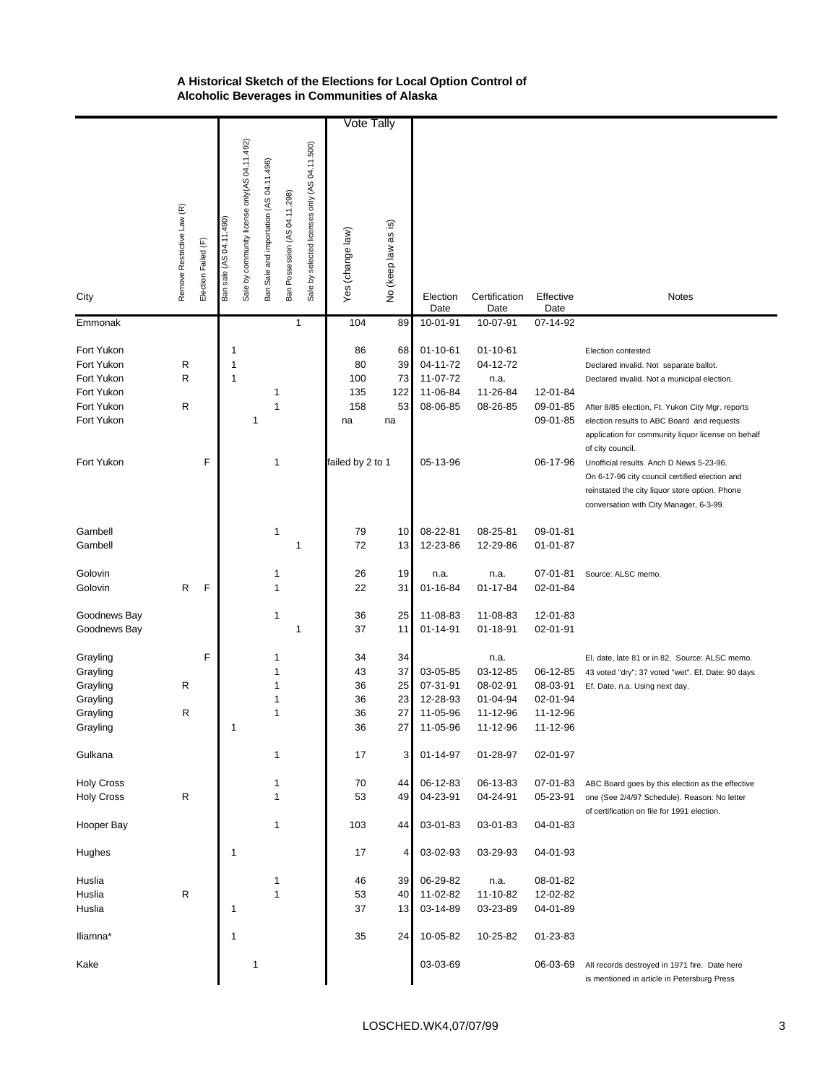|                                                                                                |                            |                     |                         |                                               |                                         |                               |                                                    | <b>Vote Tally</b>                                       |                                   |                                                                            |                                                      |                                              |                                                                                                                                                                                                                                                                                                                                                                                       |
|------------------------------------------------------------------------------------------------|----------------------------|---------------------|-------------------------|-----------------------------------------------|-----------------------------------------|-------------------------------|----------------------------------------------------|---------------------------------------------------------|-----------------------------------|----------------------------------------------------------------------------|------------------------------------------------------|----------------------------------------------|---------------------------------------------------------------------------------------------------------------------------------------------------------------------------------------------------------------------------------------------------------------------------------------------------------------------------------------------------------------------------------------|
| City                                                                                           | Remove Restrictive Law (R) | Election Failed (F) | Ban sale (AS 04.11.490) | Sale by community license only (AS 04.11.492) | Ban Sale and importation (AS 04.11.496) | Ban Possession (AS 04.11.298) | selected licenses only (AS 04.11.500)<br>δ<br>Sale | Yes (change law)                                        | No (keep law as is)               | Election<br>Date                                                           | Certification<br>Date                                | Effective<br>Date                            | <b>Notes</b>                                                                                                                                                                                                                                                                                                                                                                          |
| Emmonak                                                                                        |                            |                     |                         |                                               |                                         |                               | $\mathbf{1}$                                       | 104                                                     | 89                                | 10-01-91                                                                   | 10-07-91                                             | 07-14-92                                     |                                                                                                                                                                                                                                                                                                                                                                                       |
| Fort Yukon<br>Fort Yukon<br>Fort Yukon<br>Fort Yukon<br>Fort Yukon<br>Fort Yukon<br>Fort Yukon | R<br>R<br>R                | F                   | 1<br>1<br>1             | $\mathbf{1}$                                  | 1<br>1<br>1                             |                               |                                                    | 86<br>80<br>100<br>135<br>158<br>na<br>failed by 2 to 1 | 68<br>39<br>73<br>122<br>53<br>na | $01 - 10 - 61$<br>04-11-72<br>11-07-72<br>11-06-84<br>08-06-85<br>05-13-96 | 01-10-61<br>04-12-72<br>n.a.<br>11-26-84<br>08-26-85 | 12-01-84<br>09-01-85<br>09-01-85<br>06-17-96 | Election contested<br>Declared invalid. Not separate ballot.<br>Declared invalid. Not a municipal election.<br>After 8/85 election, Ft. Yukon City Mgr. reports<br>election results to ABC Board and requests<br>application for community liquor license on behalf<br>of city council.<br>Unofficial results. Anch D News 5-23-96.<br>On 6-17-96 city council certified election and |
|                                                                                                |                            |                     |                         |                                               |                                         |                               |                                                    |                                                         |                                   |                                                                            |                                                      |                                              | reinstated the city liquor store option. Phone<br>conversation with City Manager, 6-3-99.                                                                                                                                                                                                                                                                                             |
| Gambell<br>Gambell                                                                             |                            |                     |                         |                                               | $\mathbf{1}$                            |                               | $\mathbf 1$                                        | 79<br>72                                                | 10<br>13                          | 08-22-81<br>12-23-86                                                       | 08-25-81<br>12-29-86                                 | 09-01-81<br>$01 - 01 - 87$                   |                                                                                                                                                                                                                                                                                                                                                                                       |
| Golovin<br>Golovin                                                                             | R                          | F                   |                         |                                               | 1<br>$\mathbf{1}$                       |                               |                                                    | 26<br>22                                                | 19<br>31                          | n.a.<br>01-16-84                                                           | n.a.<br>01-17-84                                     | 07-01-81<br>02-01-84                         | Source: ALSC memo.                                                                                                                                                                                                                                                                                                                                                                    |
| Goodnews Bay<br>Goodnews Bay                                                                   |                            |                     |                         |                                               | 1                                       |                               | 1                                                  | 36<br>37                                                | 25<br>11                          | 11-08-83<br>01-14-91                                                       | 11-08-83<br>01-18-91                                 | 12-01-83<br>02-01-91                         |                                                                                                                                                                                                                                                                                                                                                                                       |
| Grayling                                                                                       |                            | F                   |                         |                                               | 1                                       |                               |                                                    | 34                                                      | 34                                |                                                                            | n.a.                                                 |                                              | El. date, late 81 or in 82. Source: ALSC memo.                                                                                                                                                                                                                                                                                                                                        |
| Grayling                                                                                       |                            |                     |                         |                                               | 1                                       |                               |                                                    | 43                                                      | 37                                | 03-05-85                                                                   | 03-12-85                                             | 06-12-85                                     | 43 voted "dry"; 37 voted "wet". Ef. Date: 90 days                                                                                                                                                                                                                                                                                                                                     |
| Grayling                                                                                       | R                          |                     |                         |                                               | 1                                       |                               |                                                    | 36                                                      | 25                                | 07-31-91                                                                   | 08-02-91                                             | 08-03-91                                     | Ef. Date, n.a. Using next day.                                                                                                                                                                                                                                                                                                                                                        |
| Grayling                                                                                       |                            |                     |                         |                                               | 1                                       |                               |                                                    | 36                                                      | 23                                | 12-28-93                                                                   | 01-04-94                                             | 02-01-94                                     |                                                                                                                                                                                                                                                                                                                                                                                       |
| Grayling                                                                                       | R                          |                     |                         |                                               | 1                                       |                               |                                                    | 36                                                      | 27                                | 11-05-96                                                                   | 11-12-96                                             | 11-12-96                                     |                                                                                                                                                                                                                                                                                                                                                                                       |
| Grayling                                                                                       |                            |                     | 1                       |                                               |                                         |                               |                                                    | 36                                                      | 27                                | 11-05-96                                                                   | 11-12-96                                             | 11-12-96                                     |                                                                                                                                                                                                                                                                                                                                                                                       |
| Gulkana                                                                                        |                            |                     |                         |                                               | 1                                       |                               |                                                    | 17                                                      | 3                                 | 01-14-97                                                                   | 01-28-97                                             | 02-01-97                                     |                                                                                                                                                                                                                                                                                                                                                                                       |
| <b>Holy Cross</b>                                                                              |                            |                     |                         |                                               | 1                                       |                               |                                                    | 70                                                      | 44                                | 06-12-83                                                                   | 06-13-83                                             | 07-01-83                                     | ABC Board goes by this election as the effective                                                                                                                                                                                                                                                                                                                                      |
| <b>Holy Cross</b>                                                                              | R                          |                     |                         |                                               | 1                                       |                               |                                                    | 53                                                      | 49                                | 04-23-91                                                                   | 04-24-91                                             | 05-23-91                                     | one (See 2/4/97 Schedule). Reason: No letter<br>of certification on file for 1991 election.                                                                                                                                                                                                                                                                                           |
| Hooper Bay                                                                                     |                            |                     |                         |                                               | 1                                       |                               |                                                    | 103                                                     | 44                                | 03-01-83                                                                   | 03-01-83                                             | 04-01-83                                     |                                                                                                                                                                                                                                                                                                                                                                                       |
| Hughes                                                                                         |                            |                     | 1                       |                                               |                                         |                               |                                                    | 17                                                      | 4                                 | 03-02-93                                                                   | 03-29-93                                             | 04-01-93                                     |                                                                                                                                                                                                                                                                                                                                                                                       |
| Huslia                                                                                         |                            |                     |                         |                                               | 1                                       |                               |                                                    | 46                                                      | 39                                | 06-29-82                                                                   | n.a.                                                 | 08-01-82                                     |                                                                                                                                                                                                                                                                                                                                                                                       |
| Huslia                                                                                         | R                          |                     |                         |                                               | 1                                       |                               |                                                    | 53                                                      | 40                                | 11-02-82                                                                   | 11-10-82                                             | 12-02-82                                     |                                                                                                                                                                                                                                                                                                                                                                                       |
| Huslia                                                                                         |                            |                     | 1                       |                                               |                                         |                               |                                                    | 37                                                      | 13                                | 03-14-89                                                                   | 03-23-89                                             | 04-01-89                                     |                                                                                                                                                                                                                                                                                                                                                                                       |
| lliamna*                                                                                       |                            |                     | 1                       |                                               |                                         |                               |                                                    | 35                                                      | 24                                | 10-05-82                                                                   | 10-25-82                                             | 01-23-83                                     |                                                                                                                                                                                                                                                                                                                                                                                       |
| Kake                                                                                           |                            |                     |                         | 1                                             |                                         |                               |                                                    |                                                         |                                   | 03-03-69                                                                   |                                                      | 06-03-69                                     | All records destroyed in 1971 fire. Date here<br>is mentioned in article in Petersburg Press                                                                                                                                                                                                                                                                                          |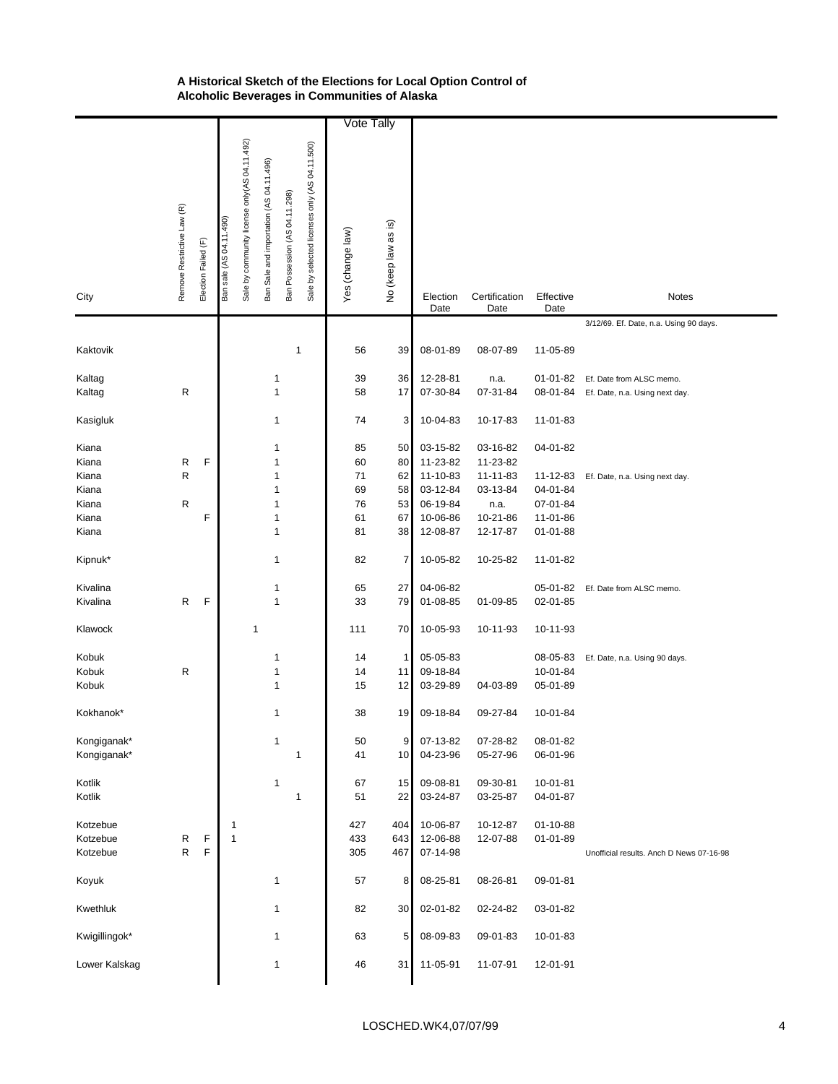| City                    | Remove Restrictive Law (R) | Election Failed (F) | Ban sale (AS 04.11.490) | Sale by community license only (AS 04.11.492) | Ban Sale and importation (AS 04.11.496) | Ban Possession (AS 04.11.298) | Sale by selected licenses only (AS 04.11.500) | <b>Vote Tally</b><br>Yes (change law) | <u>@</u><br>No (keep law as | Election<br>Date                 | Certification<br>Date            | Effective<br>Date    | Notes                                                      |
|-------------------------|----------------------------|---------------------|-------------------------|-----------------------------------------------|-----------------------------------------|-------------------------------|-----------------------------------------------|---------------------------------------|-----------------------------|----------------------------------|----------------------------------|----------------------|------------------------------------------------------------|
|                         |                            |                     |                         |                                               |                                         |                               |                                               |                                       |                             |                                  |                                  |                      | 3/12/69. Ef. Date, n.a. Using 90 days.                     |
| Kaktovik                |                            |                     |                         |                                               |                                         | $\mathbf{1}$                  |                                               | 56                                    | 39                          | 08-01-89                         | 08-07-89                         | 11-05-89             |                                                            |
| Kaltag<br>Kaltag        | R                          |                     |                         |                                               | 1<br>1                                  |                               |                                               | 39<br>58                              | 36<br>17                    | 12-28-81<br>07-30-84             | n.a.<br>07-31-84                 | 01-01-82<br>08-01-84 | Ef. Date from ALSC memo.<br>Ef. Date, n.a. Using next day. |
| Kasigluk                |                            |                     |                         |                                               | 1                                       |                               |                                               | 74                                    | 3                           | 10-04-83                         | 10-17-83                         | 11-01-83             |                                                            |
| Kiana<br>Kiana<br>Kiana | R<br>R                     | F                   |                         |                                               | 1<br>1                                  | 1                             |                                               | 85<br>60<br>71                        | 50<br>80<br>62              | 03-15-82<br>11-23-82<br>11-10-83 | 03-16-82<br>11-23-82<br>11-11-83 | 04-01-82<br>11-12-83 | Ef. Date, n.a. Using next day.                             |
| Kiana                   |                            |                     |                         |                                               |                                         | 1                             |                                               | 69                                    | 58                          | 03-12-84                         | 03-13-84                         | 04-01-84             |                                                            |
| Kiana                   | R                          |                     |                         |                                               |                                         | 1                             |                                               | 76                                    | 53                          | 06-19-84                         | n.a.                             | 07-01-84             |                                                            |
| Kiana                   |                            | F                   |                         |                                               |                                         | 1                             |                                               | 61                                    | 67                          | 10-06-86                         | 10-21-86                         | 11-01-86             |                                                            |
| Kiana                   |                            |                     |                         |                                               |                                         | 1                             |                                               | 81                                    | 38                          | 12-08-87                         | 12-17-87                         | 01-01-88             |                                                            |
| Kipnuk*                 |                            |                     |                         |                                               | 1                                       |                               |                                               | 82                                    | 7                           | 10-05-82                         | 10-25-82                         | 11-01-82             |                                                            |
| Kivalina                |                            |                     |                         |                                               | 1                                       |                               |                                               | 65                                    | 27                          | 04-06-82                         |                                  | 05-01-82             | Ef. Date from ALSC memo.                                   |
| Kivalina                | R                          | F                   |                         |                                               | 1                                       |                               |                                               | 33                                    | 79                          | 01-08-85                         | 01-09-85                         | 02-01-85             |                                                            |
| Klawock                 |                            |                     |                         | 1                                             |                                         |                               |                                               | 111                                   | 70                          | 10-05-93                         | 10-11-93                         | 10-11-93             |                                                            |
| Kobuk                   |                            |                     |                         |                                               | 1                                       |                               |                                               | 14                                    | 1                           | 05-05-83                         |                                  | 08-05-83             | Ef. Date, n.a. Using 90 days.                              |
| Kobuk                   | R                          |                     |                         |                                               |                                         | 1                             |                                               | 14                                    | 11                          | 09-18-84                         |                                  | 10-01-84             |                                                            |
| Kobuk                   |                            |                     |                         |                                               |                                         | 1                             |                                               | 15                                    | 12                          | 03-29-89                         | 04-03-89                         | 05-01-89             |                                                            |
| Kokhanok*               |                            |                     |                         |                                               | 1                                       |                               |                                               | 38                                    | 19                          | 09-18-84                         | 09-27-84                         | 10-01-84             |                                                            |
| Kongiganak*             |                            |                     |                         |                                               | 1                                       |                               |                                               | 50                                    | 9                           | 07-13-82                         | 07-28-82                         | 08-01-82             |                                                            |
| Kongiganak*             |                            |                     |                         |                                               |                                         | $\mathbf{1}$                  |                                               | 41                                    | 10                          | 04-23-96                         | 05-27-96                         | 06-01-96             |                                                            |
| Kotlik                  |                            |                     |                         |                                               | $\mathbf{1}$                            |                               |                                               | 67                                    | 15                          | 09-08-81                         | 09-30-81                         | 10-01-81             |                                                            |
| Kotlik                  |                            |                     |                         |                                               |                                         | $\mathbf{1}$                  |                                               | 51                                    | 22                          | 03-24-87                         | 03-25-87                         | 04-01-87             |                                                            |
| Kotzebue                |                            |                     | 1                       |                                               |                                         |                               |                                               | 427                                   | 404                         | 10-06-87                         | 10-12-87                         | 01-10-88             |                                                            |
| Kotzebue                | R                          | F                   | $\mathbf{1}$            |                                               |                                         |                               |                                               | 433                                   | 643                         | 12-06-88                         | 12-07-88                         | 01-01-89             |                                                            |
| Kotzebue                | ${\sf R}$                  | F                   |                         |                                               |                                         |                               |                                               | 305                                   | 467                         | 07-14-98                         |                                  |                      | Unofficial results. Anch D News 07-16-98                   |
| Koyuk                   |                            |                     |                         |                                               |                                         | 1                             |                                               | 57                                    | 8                           | 08-25-81                         | 08-26-81                         | 09-01-81             |                                                            |
| Kwethluk                |                            |                     |                         |                                               |                                         | 1                             |                                               | 82                                    | 30                          | 02-01-82                         | 02-24-82                         | 03-01-82             |                                                            |
| Kwigillingok*           |                            |                     |                         |                                               |                                         | 1                             |                                               | 63                                    | 5                           | 08-09-83                         | 09-01-83                         | 10-01-83             |                                                            |
| Lower Kalskag           |                            |                     |                         |                                               | 1                                       |                               |                                               | 46                                    | 31                          | 11-05-91                         | 11-07-91                         | 12-01-91             |                                                            |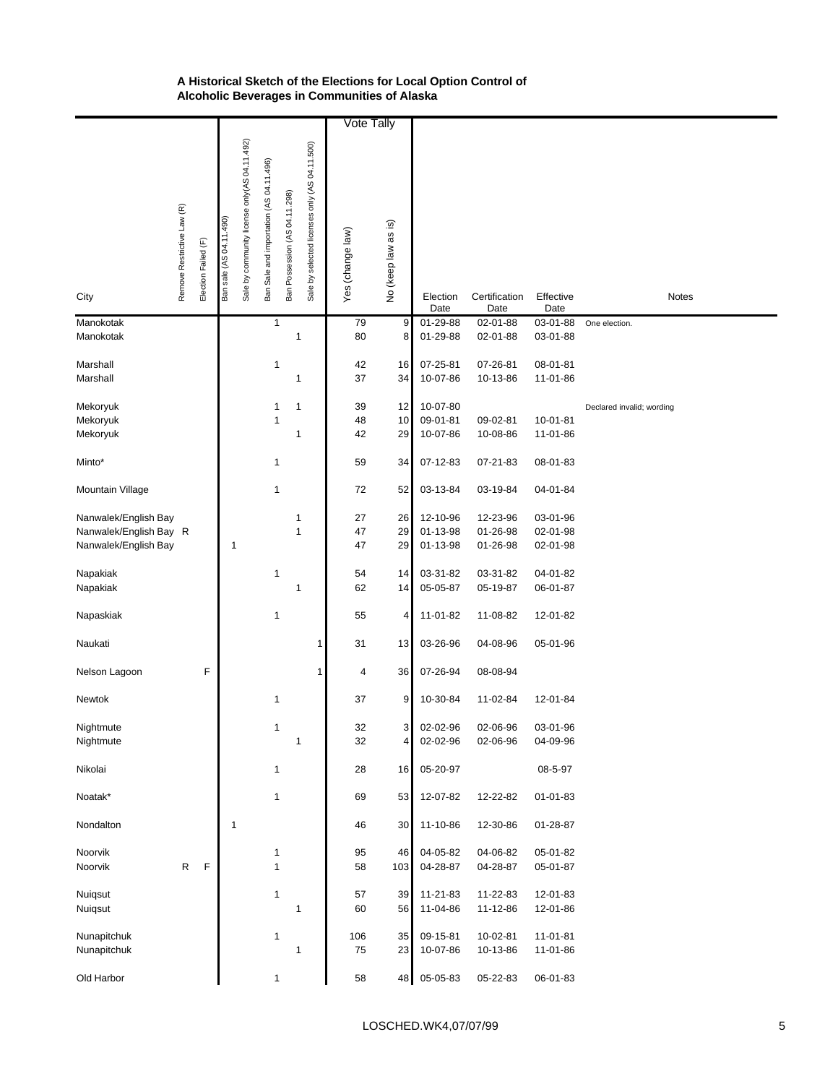|                        |                            |                     |                         |                                               |                                         |                               |                                               | <b>Vote Tally</b> |                     |                      |                       |                      |                           |
|------------------------|----------------------------|---------------------|-------------------------|-----------------------------------------------|-----------------------------------------|-------------------------------|-----------------------------------------------|-------------------|---------------------|----------------------|-----------------------|----------------------|---------------------------|
| City                   | Remove Restrictive Law (R) | Election Failed (F) | Ban sale (AS 04.11.490) | Sale by community license only (AS 04.11.492) | Ban Sale and importation (AS 04.11.496) | Ban Possession (AS 04.11.298) | Sale by selected licenses only (AS 04.11.500) | Yes (change law)  | No (keep law as is) | Election<br>Date     | Certification<br>Date | Effective<br>Date    | Notes                     |
| Manokotak<br>Manokotak |                            |                     |                         |                                               |                                         | $\mathbf{1}$<br>1             |                                               | 79<br>80          | 9<br>8              | 01-29-88<br>01-29-88 | 02-01-88<br>02-01-88  | 03-01-88<br>03-01-88 | One election.             |
|                        |                            |                     |                         |                                               |                                         |                               |                                               |                   |                     |                      |                       |                      |                           |
| Marshall<br>Marshall   |                            |                     |                         |                                               | 1                                       | 1                             |                                               | 42<br>37          | 16<br>34            | 07-25-81<br>10-07-86 | 07-26-81<br>10-13-86  | 08-01-81<br>11-01-86 |                           |
|                        |                            |                     |                         |                                               |                                         |                               |                                               |                   |                     |                      |                       |                      |                           |
| Mekoryuk<br>Mekoryuk   |                            |                     |                         |                                               | 1                                       | 1<br>1                        |                                               | 39<br>48          | 12<br>10            | 10-07-80<br>09-01-81 | 09-02-81              | 10-01-81             | Declared invalid; wording |
| Mekoryuk               |                            |                     |                         |                                               |                                         | 1                             |                                               | 42                | 29                  | 10-07-86             | 10-08-86              | 11-01-86             |                           |
|                        |                            |                     |                         |                                               |                                         |                               |                                               |                   |                     |                      |                       |                      |                           |
| Minto*                 |                            |                     |                         |                                               |                                         | 1                             |                                               | 59                | 34                  | 07-12-83             | 07-21-83              | 08-01-83             |                           |
| Mountain Village       |                            |                     |                         |                                               | 1                                       |                               |                                               | 72                | 52                  | 03-13-84             | 03-19-84              | 04-01-84             |                           |
| Nanwalek/English Bay   |                            |                     |                         |                                               |                                         | 1                             |                                               | 27                | 26                  | 12-10-96             | 12-23-96              | 03-01-96             |                           |
| Nanwalek/English Bay R |                            |                     |                         |                                               |                                         | 1                             |                                               | 47                | 29                  | 01-13-98             | 01-26-98              | 02-01-98             |                           |
| Nanwalek/English Bay   |                            |                     | $\overline{1}$          |                                               |                                         |                               |                                               | 47                | 29                  | 01-13-98             | 01-26-98              | 02-01-98             |                           |
|                        |                            |                     |                         |                                               |                                         |                               |                                               |                   |                     |                      |                       |                      |                           |
| Napakiak               |                            |                     |                         |                                               | 1                                       |                               |                                               | 54                | 14                  | 03-31-82             | 03-31-82              | 04-01-82             |                           |
| Napakiak               |                            |                     |                         |                                               |                                         | 1                             |                                               | 62                | 14                  | 05-05-87             | 05-19-87              | 06-01-87             |                           |
| Napaskiak              |                            |                     |                         |                                               | 1                                       |                               |                                               | 55                | 4                   | 11-01-82             | 11-08-82              | 12-01-82             |                           |
| Naukati                |                            |                     |                         |                                               |                                         |                               | 1                                             | 31                | 13                  | 03-26-96             | 04-08-96              | 05-01-96             |                           |
| Nelson Lagoon          |                            | F                   |                         |                                               |                                         |                               | 1                                             | 4                 | 36                  | 07-26-94             | 08-08-94              |                      |                           |
| Newtok                 |                            |                     |                         |                                               |                                         | 1                             |                                               | 37                | 9                   | 10-30-84             | 11-02-84              | 12-01-84             |                           |
| Nightmute              |                            |                     |                         |                                               | 1                                       |                               |                                               | 32                | 3 <sub>l</sub>      | 02-02-96             | 02-06-96              | 03-01-96             |                           |
| Nightmute              |                            |                     |                         |                                               |                                         | $\mathbf{1}$                  |                                               | 32                | $\overline{a}$      | 02-02-96             | 02-06-96              | 04-09-96             |                           |
| Nikolai                |                            |                     |                         |                                               |                                         | 1                             |                                               | 28                | 16                  | 05-20-97             |                       | 08-5-97              |                           |
| Noatak*                |                            |                     |                         |                                               |                                         | 1                             |                                               | 69                | 53                  | 12-07-82             | 12-22-82              | $01 - 01 - 83$       |                           |
| Nondalton              |                            |                     | $\mathbf{1}$            |                                               |                                         |                               |                                               | 46                | 30                  | 11-10-86             | 12-30-86              | 01-28-87             |                           |
|                        |                            |                     |                         |                                               |                                         |                               |                                               |                   |                     |                      |                       |                      |                           |
| Noorvik                |                            |                     |                         |                                               |                                         | 1                             |                                               | 95                | 46                  | 04-05-82             | 04-06-82              | 05-01-82             |                           |
| Noorvik                | $\mathsf{R}$               | F                   |                         |                                               | $\mathbf{1}$                            |                               |                                               | 58                | 103                 | 04-28-87             | 04-28-87              | 05-01-87             |                           |
|                        |                            |                     |                         |                                               |                                         |                               |                                               |                   |                     |                      |                       |                      |                           |
| Nuiqsut                |                            |                     |                         |                                               | $\mathbf{1}$                            |                               |                                               | 57                | 39                  | 11-21-83             | 11-22-83              | 12-01-83             |                           |
| Nuiqsut                |                            |                     |                         |                                               |                                         | 1                             |                                               | 60                | 56                  | 11-04-86             | 11-12-86              | 12-01-86             |                           |
|                        |                            |                     |                         |                                               |                                         |                               |                                               |                   |                     |                      |                       |                      |                           |
| Nunapitchuk            |                            |                     |                         |                                               | $\mathbf{1}$                            |                               |                                               | 106               | 35                  | 09-15-81             | 10-02-81              | 11-01-81             |                           |
| Nunapitchuk            |                            |                     |                         |                                               |                                         | 1                             |                                               | 75                | 23                  | 10-07-86             | 10-13-86              | 11-01-86             |                           |
| Old Harbor             |                            |                     |                         |                                               |                                         | $\mathbf{1}$                  |                                               | 58                | 48                  | 05-05-83             | 05-22-83              | 06-01-83             |                           |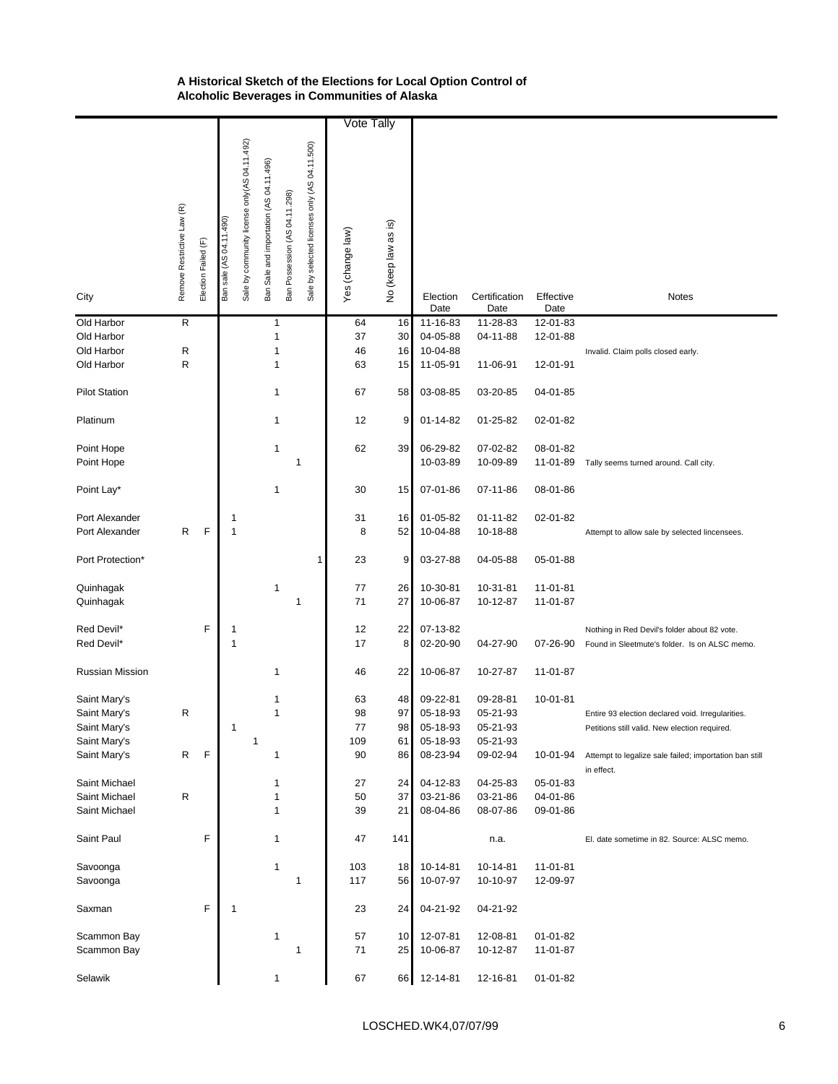|                      |                            |                     |                         |                                               |                                        |                               |                                               | <b>Vote Tally</b> |                             |                  |                       |                   |                                                        |
|----------------------|----------------------------|---------------------|-------------------------|-----------------------------------------------|----------------------------------------|-------------------------------|-----------------------------------------------|-------------------|-----------------------------|------------------|-----------------------|-------------------|--------------------------------------------------------|
| City                 | Remove Restrictive Law (R) | Election Failed (F) | Ban sale (AS 04.11.490) | Sale by community license only (AS 04.11.492) | Ban Sale and importation (AS 04.11.496 | Ban Possession (AS 04.11.298) | Sale by selected licenses only (AS 04.11.500) | Yes (change law)  | <u>@</u><br>No (keep law as | Election<br>Date | Certification<br>Date | Effective<br>Date | <b>Notes</b>                                           |
| Old Harbor           | $\mathsf{R}$               |                     |                         |                                               |                                        | $\mathbf{1}$                  |                                               | 64                | 16                          | 11-16-83         | 11-28-83              | 12-01-83          |                                                        |
| Old Harbor           |                            |                     |                         |                                               | 1                                      |                               |                                               | 37                | 30                          | 04-05-88         | 04-11-88              | 12-01-88          |                                                        |
| Old Harbor           | R                          |                     |                         |                                               | 1                                      |                               |                                               | 46                | 16                          | 10-04-88         |                       |                   | Invalid. Claim polls closed early.                     |
| Old Harbor           | R                          |                     |                         |                                               | 1                                      |                               |                                               | 63                | 15                          | 11-05-91         | 11-06-91              | 12-01-91          |                                                        |
|                      |                            |                     |                         |                                               |                                        |                               |                                               |                   |                             |                  |                       |                   |                                                        |
| <b>Pilot Station</b> |                            |                     |                         |                                               | 1                                      |                               |                                               | 67                | 58                          | 03-08-85         | 03-20-85              | 04-01-85          |                                                        |
|                      |                            |                     |                         |                                               |                                        |                               |                                               |                   |                             |                  |                       |                   |                                                        |
| Platinum             |                            |                     |                         |                                               | 1                                      |                               |                                               | 12                | 9                           | 01-14-82         | 01-25-82              | 02-01-82          |                                                        |
|                      |                            |                     |                         |                                               |                                        |                               |                                               |                   |                             |                  |                       |                   |                                                        |
| Point Hope           |                            |                     |                         |                                               | 1                                      |                               |                                               | 62                | 39                          | 06-29-82         | 07-02-82              | 08-01-82          |                                                        |
| Point Hope           |                            |                     |                         |                                               |                                        | $\mathbf 1$                   |                                               |                   |                             | 10-03-89         | 10-09-89              | 11-01-89          | Tally seems turned around. Call city.                  |
|                      |                            |                     |                         |                                               |                                        |                               |                                               |                   |                             |                  |                       |                   |                                                        |
| Point Lay*           |                            |                     |                         |                                               | 1                                      |                               |                                               | 30                | 15                          | 07-01-86         | 07-11-86              | 08-01-86          |                                                        |
|                      |                            |                     |                         |                                               |                                        |                               |                                               |                   |                             |                  |                       |                   |                                                        |
| Port Alexander       |                            |                     | 1                       |                                               |                                        |                               |                                               | 31                | 16                          | 01-05-82         | 01-11-82              | 02-01-82          |                                                        |
| Port Alexander       | R                          | F                   | 1                       |                                               |                                        |                               |                                               | 8                 | 52                          | 10-04-88         | 10-18-88              |                   | Attempt to allow sale by selected lincensees.          |
|                      |                            |                     |                         |                                               |                                        |                               |                                               |                   |                             |                  |                       |                   |                                                        |
| Port Protection*     |                            |                     |                         |                                               |                                        |                               | 1                                             | 23                | 9                           | 03-27-88         | 04-05-88              | 05-01-88          |                                                        |
|                      |                            |                     |                         |                                               |                                        |                               |                                               |                   |                             |                  |                       |                   |                                                        |
| Quinhagak            |                            |                     |                         |                                               | 1                                      |                               |                                               | 77                | 26                          | 10-30-81         | 10-31-81              | 11-01-81          |                                                        |
| Quinhagak            |                            |                     |                         |                                               |                                        | $\mathbf 1$                   |                                               | 71                | 27                          | 10-06-87         | 10-12-87              | 11-01-87          |                                                        |
|                      |                            |                     |                         |                                               |                                        |                               |                                               |                   |                             |                  |                       |                   |                                                        |
|                      |                            |                     |                         |                                               |                                        |                               |                                               |                   |                             |                  |                       |                   |                                                        |
| Red Devil*           |                            | F                   | 1                       |                                               |                                        |                               |                                               | 12                | 22                          | 07-13-82         |                       |                   | Nothing in Red Devil's folder about 82 vote.           |
| Red Devil*           |                            |                     | 1                       |                                               |                                        |                               |                                               | 17                | 8                           | 02-20-90         | 04-27-90              | 07-26-90          | Found in Sleetmute's folder. Is on ALSC memo.          |
|                      |                            |                     |                         |                                               |                                        |                               |                                               |                   |                             |                  |                       |                   |                                                        |
| Russian Mission      |                            |                     |                         |                                               | 1                                      |                               |                                               | 46                | 22                          | 10-06-87         | 10-27-87              | 11-01-87          |                                                        |
|                      |                            |                     |                         |                                               |                                        |                               |                                               |                   |                             |                  |                       |                   |                                                        |
| Saint Mary's         |                            |                     |                         |                                               | 1                                      |                               |                                               | 63                | 48                          | 09-22-81         | 09-28-81              | 10-01-81          |                                                        |
| Saint Mary's         | R                          |                     |                         |                                               |                                        | 1                             |                                               | 98                | 97                          | 05-18-93         | 05-21-93              |                   | Entire 93 election declared void. Irregularities.      |
| Saint Mary's         |                            |                     | 1                       |                                               |                                        |                               |                                               | 77                | 98                          | 05-18-93         | 05-21-93              |                   | Petitions still valid. New election required.          |
| Saint Mary's         |                            |                     |                         | $\mathbf{1}$                                  |                                        |                               |                                               | 109               | 61                          | 05-18-93         | 05-21-93              |                   |                                                        |
| Saint Mary's         | R                          | F                   |                         |                                               |                                        | 1                             |                                               | 90                | 86                          | 08-23-94         | 09-02-94              | 10-01-94          | Attempt to legalize sale failed; importation ban still |
|                      |                            |                     |                         |                                               |                                        |                               |                                               |                   |                             |                  |                       |                   | in effect.                                             |
| Saint Michael        |                            |                     |                         |                                               |                                        | 1                             |                                               | 27                | 24                          | 04-12-83         | 04-25-83              | 05-01-83          |                                                        |
| Saint Michael        | ${\sf R}$                  |                     |                         |                                               |                                        | 1                             |                                               | 50                | 37                          | 03-21-86         | 03-21-86              | 04-01-86          |                                                        |
| Saint Michael        |                            |                     |                         |                                               |                                        | 1                             |                                               | 39                | 21                          | 08-04-86         | 08-07-86              | 09-01-86          |                                                        |
|                      |                            |                     |                         |                                               |                                        |                               |                                               |                   |                             |                  |                       |                   |                                                        |
| Saint Paul           |                            | F                   |                         |                                               |                                        | $\mathbf{1}$                  |                                               | 47                | 141                         |                  | n.a.                  |                   | El. date sometime in 82. Source: ALSC memo.            |
|                      |                            |                     |                         |                                               |                                        |                               |                                               |                   |                             |                  |                       |                   |                                                        |
| Savoonga             |                            |                     |                         |                                               |                                        | $\mathbf{1}$                  |                                               | 103               | 18                          | 10-14-81         | 10-14-81              | 11-01-81          |                                                        |
| Savoonga             |                            |                     |                         |                                               |                                        | 1                             |                                               | 117               | 56                          | 10-07-97         | 10-10-97              | 12-09-97          |                                                        |
|                      |                            |                     |                         |                                               |                                        |                               |                                               |                   |                             |                  |                       |                   |                                                        |
| Saxman               |                            | F                   | 1                       |                                               |                                        |                               |                                               | 23                | 24                          | 04-21-92         | 04-21-92              |                   |                                                        |
|                      |                            |                     |                         |                                               |                                        |                               |                                               |                   |                             |                  |                       |                   |                                                        |
| Scammon Bay          |                            |                     |                         |                                               |                                        | $\mathbf{1}$                  |                                               | 57                | 10                          | 12-07-81         | 12-08-81              | 01-01-82          |                                                        |
| Scammon Bay          |                            |                     |                         |                                               |                                        | $\mathbf 1$                   |                                               | 71                | 25                          | 10-06-87         | 10-12-87              | 11-01-87          |                                                        |
|                      |                            |                     |                         |                                               |                                        |                               |                                               |                   |                             |                  |                       |                   |                                                        |
| Selawik              |                            |                     |                         |                                               |                                        | 1                             |                                               | 67                | 66                          | 12-14-81         | 12-16-81              | $01 - 01 - 82$    |                                                        |
|                      |                            |                     |                         |                                               |                                        |                               |                                               |                   |                             |                  |                       |                   |                                                        |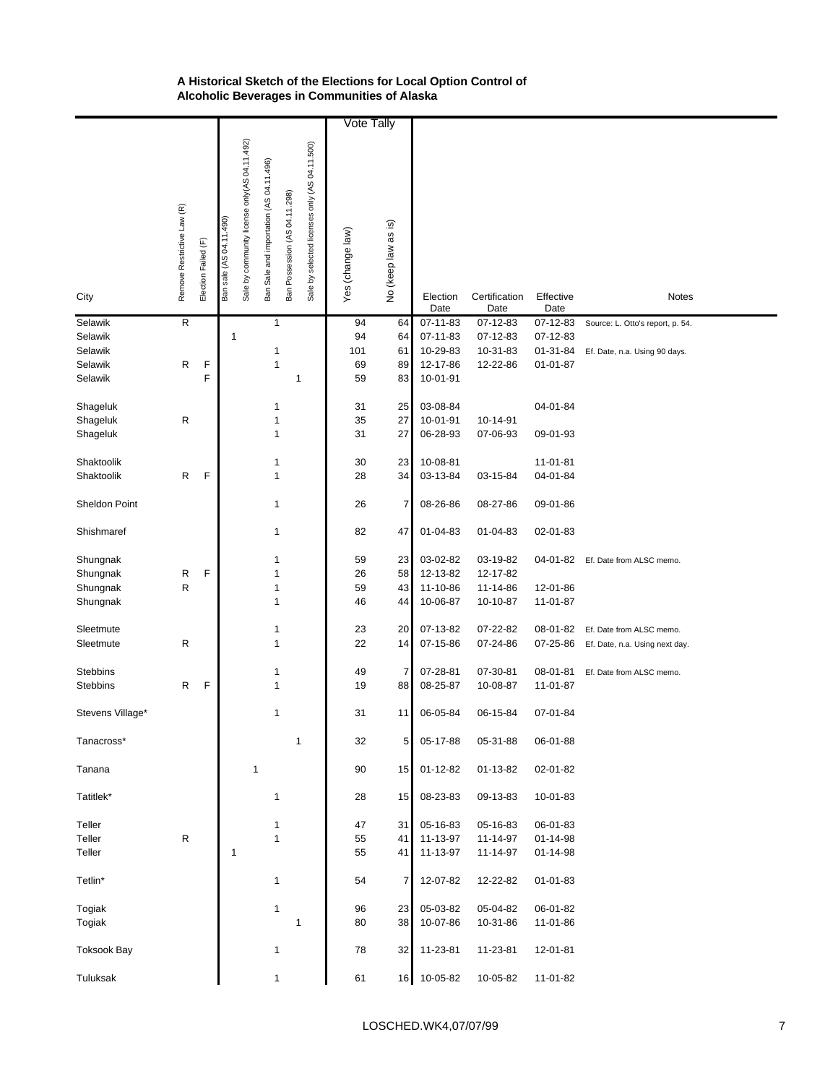|                    |                            |                     |                            |                                               |                                         |                               |                                               | <b>Vote Tally</b> |                     |                  |                       |                   |                                  |
|--------------------|----------------------------|---------------------|----------------------------|-----------------------------------------------|-----------------------------------------|-------------------------------|-----------------------------------------------|-------------------|---------------------|------------------|-----------------------|-------------------|----------------------------------|
| City               | Remove Restrictive Law (R) | Election Failed (F) | 04.11.490)<br>Ban sale (AS | Sale by community license only (AS 04.11.492) | Ban Sale and importation (AS 04.11.496) | Ban Possession (AS 04.11.298) | Sale by selected licenses only (AS 04.11.500) | Yes (change law)  | No (keep law as is) | Election<br>Date | Certification<br>Date | Effective<br>Date | Notes                            |
| Selawik            | $\mathsf{R}$               |                     |                            |                                               |                                         | $\mathbf{1}$                  |                                               | 94                | 64                  | 07-11-83         | 07-12-83              | 07-12-83          | Source: L. Otto's report, p. 54. |
| Selawik            |                            |                     | $\mathbf 1$                |                                               |                                         |                               |                                               | 94                | 64                  | 07-11-83         | 07-12-83              | 07-12-83          |                                  |
| Selawik            |                            |                     |                            |                                               |                                         | 1                             |                                               | 101               | 61                  | 10-29-83         | 10-31-83              | 01-31-84          | Ef. Date, n.a. Using 90 days.    |
| Selawik            | R                          | F                   |                            |                                               |                                         | 1                             |                                               | 69                | 89                  | 12-17-86         | 12-22-86              | $01 - 01 - 87$    |                                  |
| Selawik            |                            | F                   |                            |                                               |                                         | 1                             |                                               | 59                | 83                  | 10-01-91         |                       |                   |                                  |
|                    |                            |                     |                            |                                               |                                         |                               |                                               |                   |                     |                  |                       |                   |                                  |
| Shageluk           |                            |                     |                            |                                               |                                         | 1                             |                                               | 31                | 25                  | 03-08-84         |                       | 04-01-84          |                                  |
| Shageluk           | $\mathsf{R}$               |                     |                            |                                               |                                         | 1                             |                                               | 35                | 27                  | 10-01-91         | 10-14-91              |                   |                                  |
| Shageluk           |                            |                     |                            |                                               |                                         | 1                             |                                               | 31                | 27                  | 06-28-93         | 07-06-93              | 09-01-93          |                                  |
|                    |                            |                     |                            |                                               |                                         |                               |                                               |                   |                     |                  |                       |                   |                                  |
| Shaktoolik         |                            |                     |                            |                                               |                                         | 1                             |                                               | 30                | 23                  | 10-08-81         |                       | 11-01-81          |                                  |
| Shaktoolik         | R                          | F                   |                            |                                               |                                         | 1                             |                                               | 28                | 34                  | 03-13-84         | 03-15-84              | 04-01-84          |                                  |
|                    |                            |                     |                            |                                               |                                         |                               |                                               |                   |                     |                  |                       |                   |                                  |
| Sheldon Point      |                            |                     |                            |                                               |                                         | 1                             |                                               | 26                | 7                   | 08-26-86         | 08-27-86              | 09-01-86          |                                  |
|                    |                            |                     |                            |                                               |                                         |                               |                                               |                   |                     |                  |                       |                   |                                  |
| Shishmaref         |                            |                     |                            |                                               |                                         | 1                             |                                               | 82                | 47                  | 01-04-83         | 01-04-83              | 02-01-83          |                                  |
|                    |                            |                     |                            |                                               |                                         |                               |                                               |                   |                     |                  |                       |                   |                                  |
| Shungnak           |                            |                     |                            |                                               |                                         | 1                             |                                               | 59                | 23                  | 03-02-82         | 03-19-82              | 04-01-82          | Ef. Date from ALSC memo.         |
| Shungnak           | R                          | F                   |                            |                                               |                                         | 1                             |                                               | 26                | 58                  | 12-13-82         | 12-17-82              |                   |                                  |
| Shungnak           | R                          |                     |                            |                                               |                                         | 1                             |                                               | 59                | 43                  | 11-10-86         | 11-14-86              | 12-01-86          |                                  |
| Shungnak           |                            |                     |                            |                                               |                                         | 1                             |                                               | 46                | 44                  | 10-06-87         | 10-10-87              | 11-01-87          |                                  |
|                    |                            |                     |                            |                                               |                                         |                               |                                               |                   |                     |                  |                       |                   |                                  |
| Sleetmute          |                            |                     |                            |                                               |                                         | 1                             |                                               | 23                | 20                  | 07-13-82         | 07-22-82              | 08-01-82          | Ef. Date from ALSC memo.         |
| Sleetmute          | R                          |                     |                            |                                               |                                         | 1                             |                                               | 22                | 14                  | 07-15-86         | 07-24-86              | 07-25-86          | Ef. Date, n.a. Using next day.   |
|                    |                            |                     |                            |                                               |                                         |                               |                                               |                   |                     |                  |                       |                   |                                  |
| <b>Stebbins</b>    |                            |                     |                            |                                               |                                         | 1                             |                                               | 49                | 7                   | 07-28-81         | 07-30-81              | 08-01-81          | Ef. Date from ALSC memo.         |
| Stebbins           | R                          | F                   |                            |                                               |                                         | 1                             |                                               | 19                | 88                  | 08-25-87         | 10-08-87              | 11-01-87          |                                  |
|                    |                            |                     |                            |                                               |                                         |                               |                                               |                   |                     |                  |                       |                   |                                  |
| Stevens Village*   |                            |                     |                            |                                               |                                         | 1                             |                                               | 31                | 11                  | 06-05-84         | 06-15-84              | 07-01-84          |                                  |
|                    |                            |                     |                            |                                               |                                         |                               |                                               |                   |                     |                  |                       |                   |                                  |
|                    |                            |                     |                            |                                               |                                         |                               |                                               |                   |                     |                  |                       |                   |                                  |
| Tanacross*         |                            |                     |                            |                                               |                                         | 1                             |                                               | 32                | 5                   | 05-17-88         | 05-31-88              | 06-01-88          |                                  |
|                    |                            |                     |                            |                                               |                                         |                               |                                               |                   |                     |                  |                       |                   |                                  |
| Tanana             |                            |                     |                            | 1                                             |                                         |                               |                                               | 90                | 15                  | 01-12-82         | 01-13-82              | 02-01-82          |                                  |
|                    |                            |                     |                            |                                               |                                         |                               |                                               |                   |                     |                  |                       |                   |                                  |
| Tatitlek*          |                            |                     |                            |                                               |                                         | 1                             |                                               | 28                | 15                  | 08-23-83         | 09-13-83              | 10-01-83          |                                  |
|                    |                            |                     |                            |                                               |                                         |                               |                                               |                   |                     |                  |                       |                   |                                  |
| Teller             |                            |                     |                            |                                               |                                         | 1                             |                                               | 47                | 31                  | 05-16-83         | 05-16-83              | 06-01-83          |                                  |
| Teller             | ${\sf R}$                  |                     |                            |                                               |                                         | $\mathbf{1}$                  |                                               | 55                | 41                  | 11-13-97         | 11-14-97              | 01-14-98          |                                  |
| Teller             |                            |                     | 1                          |                                               |                                         |                               |                                               | 55                | 41                  | 11-13-97         | 11-14-97              | 01-14-98          |                                  |
|                    |                            |                     |                            |                                               |                                         |                               |                                               |                   |                     |                  |                       |                   |                                  |
| Tetlin*            |                            |                     |                            |                                               |                                         | $\mathbf{1}$                  |                                               | 54                | 7                   | 12-07-82         | 12-22-82              | $01 - 01 - 83$    |                                  |
|                    |                            |                     |                            |                                               |                                         |                               |                                               |                   |                     |                  |                       |                   |                                  |
| Togiak             |                            |                     |                            |                                               |                                         | $\mathbf{1}$                  |                                               | 96                | 23                  | 05-03-82         | 05-04-82              | 06-01-82          |                                  |
| Togiak             |                            |                     |                            |                                               |                                         | 1                             |                                               | 80                | 38                  | 10-07-86         | 10-31-86              | 11-01-86          |                                  |
|                    |                            |                     |                            |                                               |                                         |                               |                                               |                   |                     |                  |                       |                   |                                  |
|                    |                            |                     |                            |                                               |                                         |                               |                                               |                   |                     |                  |                       |                   |                                  |
| <b>Toksook Bay</b> |                            |                     |                            |                                               |                                         | 1                             |                                               | 78                | 32                  | 11-23-81         | 11-23-81              | 12-01-81          |                                  |
|                    |                            |                     |                            |                                               |                                         |                               |                                               |                   |                     |                  |                       |                   |                                  |
| Tuluksak           |                            |                     |                            |                                               |                                         | $\mathbf{1}$                  |                                               | 61                | 16                  | 10-05-82         | 10-05-82              | 11-01-82          |                                  |